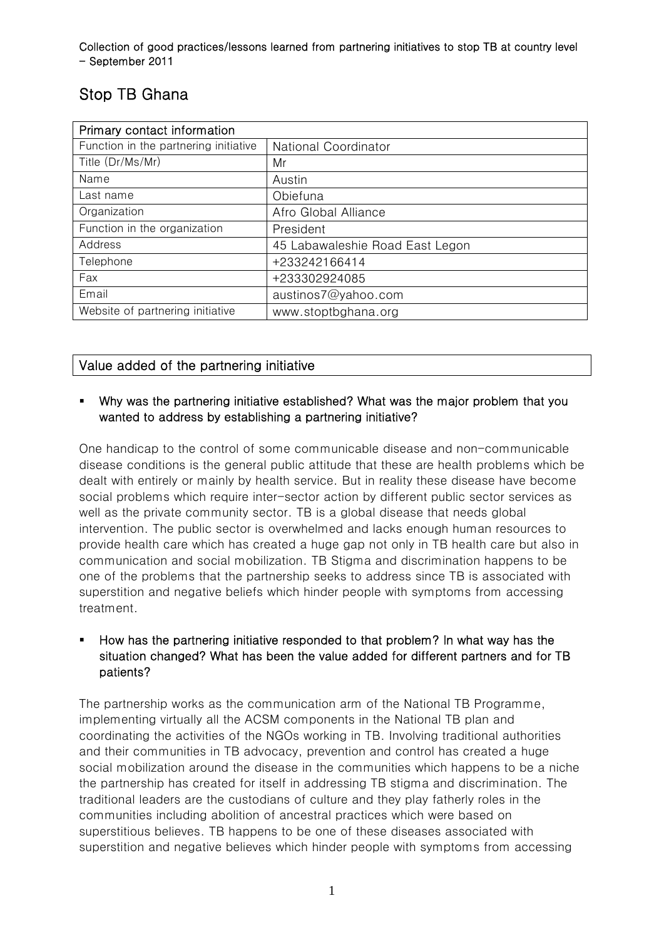# Stop TB Ghana

| Primary contact information           |                                 |
|---------------------------------------|---------------------------------|
| Function in the partnering initiative | <b>National Coordinator</b>     |
| Title (Dr/Ms/Mr)                      | Mr                              |
| Name                                  | Austin                          |
| Last name                             | Obiefuna                        |
| Organization                          | Afro Global Alliance            |
| Function in the organization          | President                       |
| Address                               | 45 Labawaleshie Road East Legon |
| Telephone                             | +233242166414                   |
| Fax                                   | +233302924085                   |
| Email                                 | austinos7@yahoo.com             |
| Website of partnering initiative      | www.stoptbghana.org             |

## Value added of the partnering initiative

## Why was the partnering initiative established? What was the major problem that you wanted to address by establishing a partnering initiative?

One handicap to the control of some communicable disease and non-communicable disease conditions is the general public attitude that these are health problems which be dealt with entirely or mainly by health service. But in reality these disease have become social problems which require inter-sector action by different public sector services as well as the private community sector. TB is a global disease that needs global intervention. The public sector is overwhelmed and lacks enough human resources to provide health care which has created a huge gap not only in TB health care but also in communication and social mobilization. TB Stigma and discrimination happens to be one of the problems that the partnership seeks to address since TB is associated with superstition and negative beliefs which hinder people with symptoms from accessing treatment.

## How has the partnering initiative responded to that problem? In what way has the situation changed? What has been the value added for different partners and for TB patients?

The partnership works as the communication arm of the National TB Programme, implementing virtually all the ACSM components in the National TB plan and coordinating the activities of the NGOs working in TB. Involving traditional authorities and their communities in TB advocacy, prevention and control has created a huge social mobilization around the disease in the communities which happens to be a niche the partnership has created for itself in addressing TB stigma and discrimination. The traditional leaders are the custodians of culture and they play fatherly roles in the communities including abolition of ancestral practices which were based on superstitious believes. TB happens to be one of these diseases associated with superstition and negative believes which hinder people with symptoms from accessing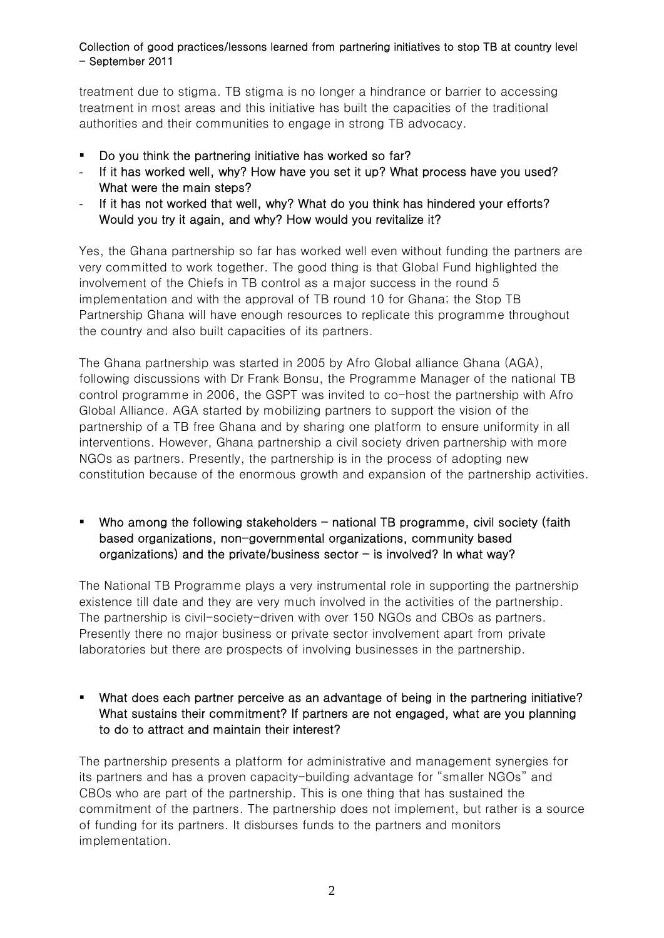treatment due to stigma. TB stigma is no longer a hindrance or barrier to accessing treatment in most areas and this initiative has built the capacities of the traditional authorities and their communities to engage in strong TB advocacy.

- Do you think the partnering initiative has worked so far?
- If it has worked well, why? How have you set it up? What process have you used? What were the main steps?
- If it has not worked that well, why? What do you think has hindered your efforts? Would you try it again, and why? How would you revitalize it?

Yes, the Ghana partnership so far has worked well even without funding the partners are very committed to work together. The good thing is that Global Fund highlighted the involvement of the Chiefs in TB control as a major success in the round 5 implementation and with the approval of TB round 10 for Ghana; the Stop TB Partnership Ghana will have enough resources to replicate this programme throughout the country and also built capacities of its partners.

The Ghana partnership was started in 2005 by Afro Global alliance Ghana (AGA), following discussions with Dr Frank Bonsu, the Programme Manager of the national TB control programme in 2006, the GSPT was invited to co-host the partnership with Afro Global Alliance. AGA started by mobilizing partners to support the vision of the partnership of a TB free Ghana and by sharing one platform to ensure uniformity in all interventions. However, Ghana partnership a civil society driven partnership with more NGOs as partners. Presently, the partnership is in the process of adopting new constitution because of the enormous growth and expansion of the partnership activities.

Who among the following stakeholders  $-$  national TB programme, civil society (faith based organizations, non-governmental organizations, community based organizations) and the private/business sector  $-$  is involved? In what way?

The National TB Programme plays a very instrumental role in supporting the partnership existence till date and they are very much involved in the activities of the partnership. The partnership is civil-society-driven with over 150 NGOs and CBOs as partners. Presently there no major business or private sector involvement apart from private laboratories but there are prospects of involving businesses in the partnership.

 What does each partner perceive as an advantage of being in the partnering initiative? What sustains their commitment? If partners are not engaged, what are you planning to do to attract and maintain their interest?

The partnership presents a platform for administrative and management synergies for its partners and has a proven capacity-building advantage for "smaller NGOs" and CBOs who are part of the partnership. This is one thing that has sustained the commitment of the partners. The partnership does not implement, but rather is a source of funding for its partners. It disburses funds to the partners and monitors implementation.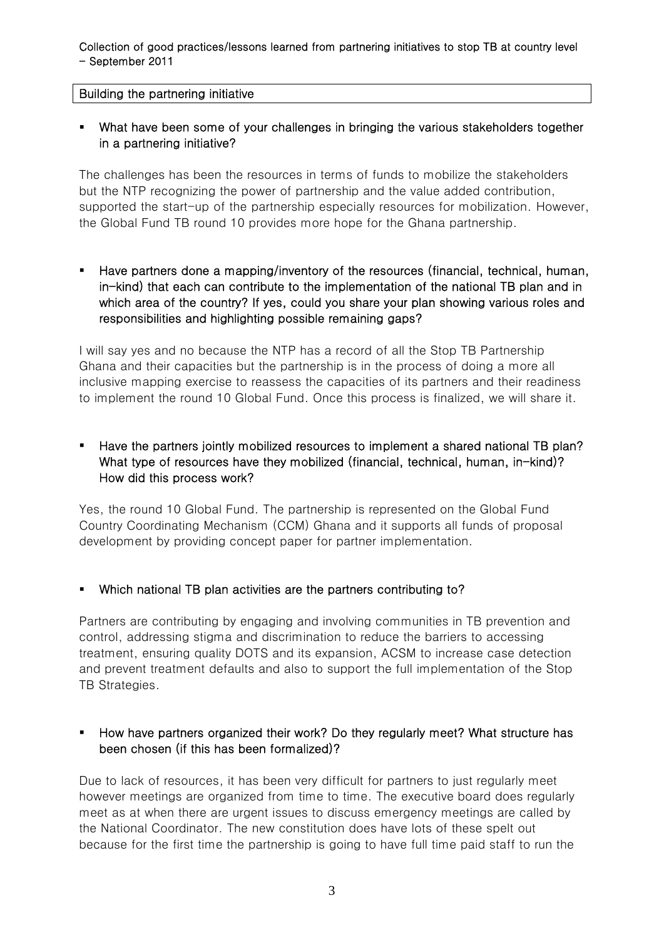#### Building the partnering initiative

## What have been some of your challenges in bringing the various stakeholders together in a partnering initiative?

The challenges has been the resources in terms of funds to mobilize the stakeholders but the NTP recognizing the power of partnership and the value added contribution, supported the start-up of the partnership especially resources for mobilization. However, the Global Fund TB round 10 provides more hope for the Ghana partnership.

 Have partners done a mapping/inventory of the resources (financial, technical, human, in-kind) that each can contribute to the implementation of the national TB plan and in which area of the country? If yes, could you share your plan showing various roles and responsibilities and highlighting possible remaining gaps?

I will say yes and no because the NTP has a record of all the Stop TB Partnership Ghana and their capacities but the partnership is in the process of doing a more all inclusive mapping exercise to reassess the capacities of its partners and their readiness to implement the round 10 Global Fund. Once this process is finalized, we will share it.

 Have the partners jointly mobilized resources to implement a shared national TB plan? What type of resources have they mobilized (financial, technical, human, in-kind)? How did this process work?

Yes, the round 10 Global Fund. The partnership is represented on the Global Fund Country Coordinating Mechanism (CCM) Ghana and it supports all funds of proposal development by providing concept paper for partner implementation.

## Which national TB plan activities are the partners contributing to?

Partners are contributing by engaging and involving communities in TB prevention and control, addressing stigma and discrimination to reduce the barriers to accessing treatment, ensuring quality DOTS and its expansion, ACSM to increase case detection and prevent treatment defaults and also to support the full implementation of the Stop TB Strategies.

## **How have partners organized their work? Do they regularly meet? What structure has** been chosen (if this has been formalized)?

Due to lack of resources, it has been very difficult for partners to just regularly meet however meetings are organized from time to time. The executive board does regularly meet as at when there are urgent issues to discuss emergency meetings are called by the National Coordinator. The new constitution does have lots of these spelt out because for the first time the partnership is going to have full time paid staff to run the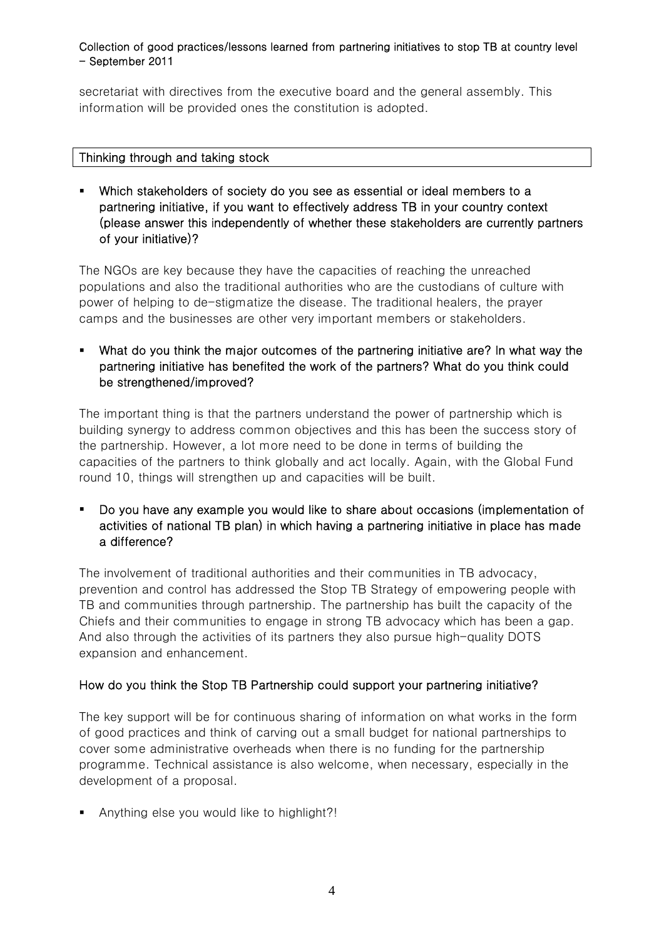secretariat with directives from the executive board and the general assembly. This information will be provided ones the constitution is adopted.

#### Thinking through and taking stock

 Which stakeholders of society do you see as essential or ideal members to a partnering initiative, if you want to effectively address TB in your country context (please answer this independently of whether these stakeholders are currently partners of your initiative)?

The NGOs are key because they have the capacities of reaching the unreached populations and also the traditional authorities who are the custodians of culture with power of helping to de-stigmatize the disease. The traditional healers, the prayer camps and the businesses are other very important members or stakeholders.

 What do you think the major outcomes of the partnering initiative are? In what way the partnering initiative has benefited the work of the partners? What do you think could be strengthened/improved?

The important thing is that the partners understand the power of partnership which is building synergy to address common objectives and this has been the success story of the partnership. However, a lot more need to be done in terms of building the capacities of the partners to think globally and act locally. Again, with the Global Fund round 10, things will strengthen up and capacities will be built.

 Do you have any example you would like to share about occasions (implementation of activities of national TB plan) in which having a partnering initiative in place has made a difference?

The involvement of traditional authorities and their communities in TB advocacy, prevention and control has addressed the Stop TB Strategy of empowering people with TB and communities through partnership. The partnership has built the capacity of the Chiefs and their communities to engage in strong TB advocacy which has been a gap. And also through the activities of its partners they also pursue high-quality DOTS expansion and enhancement.

## How do you think the Stop TB Partnership could support your partnering initiative?

The key support will be for continuous sharing of information on what works in the form of good practices and think of carving out a small budget for national partnerships to cover some administrative overheads when there is no funding for the partnership programme. Technical assistance is also welcome, when necessary, especially in the development of a proposal.

Anything else you would like to highlight?!